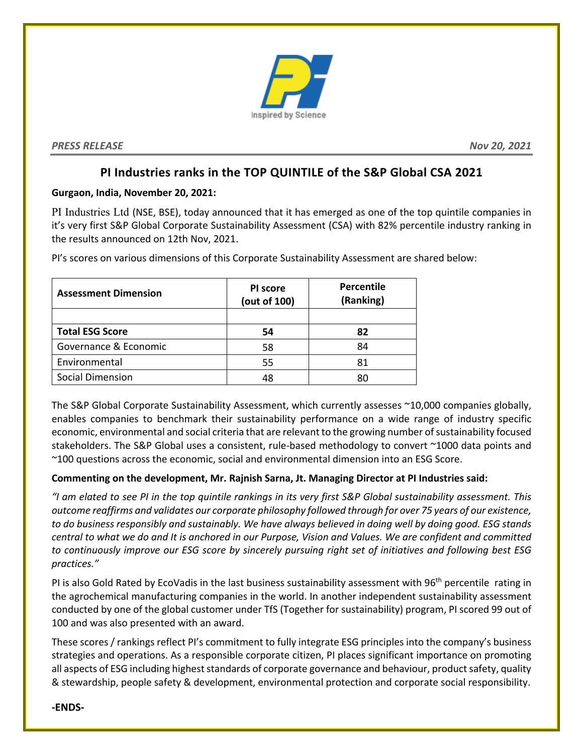

*PRESS RELEASE Nov 20, 2021*

## **PI Industries ranks in the TOP QUINTILE of the S&P Global CSA 2021**

### **Gurgaon, India, November 20, 2021:**

PI Industries Ltd (NSE, BSE), today announced that it has emerged as one of the top quintile companies in it's very first S&P Global Corporate Sustainability Assessment (CSA) with 82% percentile industry ranking in the results announced on 12th Nov, 2021.

| <b>Assessment Dimension</b> | PI score<br>(out of 100) | <b>Percentile</b><br>(Ranking) |
|-----------------------------|--------------------------|--------------------------------|
|                             |                          |                                |
| <b>Total ESG Score</b>      | 54                       | 82                             |
| Governance & Economic       | 58                       | 84                             |
| Environmental               | 55                       | 81                             |
| <b>Social Dimension</b>     | 48                       | 80                             |

PI's scores on various dimensions of this Corporate Sustainability Assessment are shared below:

The S&P Global Corporate Sustainability Assessment, which currently assesses ~10,000 companies globally, enables companies to benchmark their sustainability performance on a wide range of industry specific economic, environmental and social criteria that are relevant to the growing number of sustainability focused stakeholders. The S&P Global uses a consistent, rule-based methodology to convert ~1000 data points and ~100 questions across the economic, social and environmental dimension into an ESG Score.

### **Commenting on the development, Mr. Rajnish Sarna, Jt. Managing Director at PI Industries said:**

*"I am elated to see PI in the top quintile rankings in its very first S&P Global sustainability assessment. This outcome reaffirms and validates our corporate philosophy followed through for over 75 years of our existence, to do business responsibly and sustainably. We have always believed in doing well by doing good. ESG stands central to what we do and It is anchored in our Purpose, Vision and Values. We are confident and committed to continuously improve our ESG score by sincerely pursuing right set of initiatives and following best ESG practices."*

PI is also Gold Rated by EcoVadis in the last business sustainability assessment with 96<sup>th</sup> percentile rating in the agrochemical manufacturing companies in the world. In another independent sustainability assessment conducted by one of the global customer under TfS (Together for sustainability) program, PI scored 99 out of 100 and was also presented with an award.

These scores / rankings reflect PI's commitment to fully integrate ESG principles into the company's business strategies and operations. As a responsible corporate citizen, PI places significant importance on promoting all aspects of ESG including highest standards of corporate governance and behaviour, product safety, quality & stewardship, people safety & development, environmental protection and corporate social responsibility.

**-ENDS-**